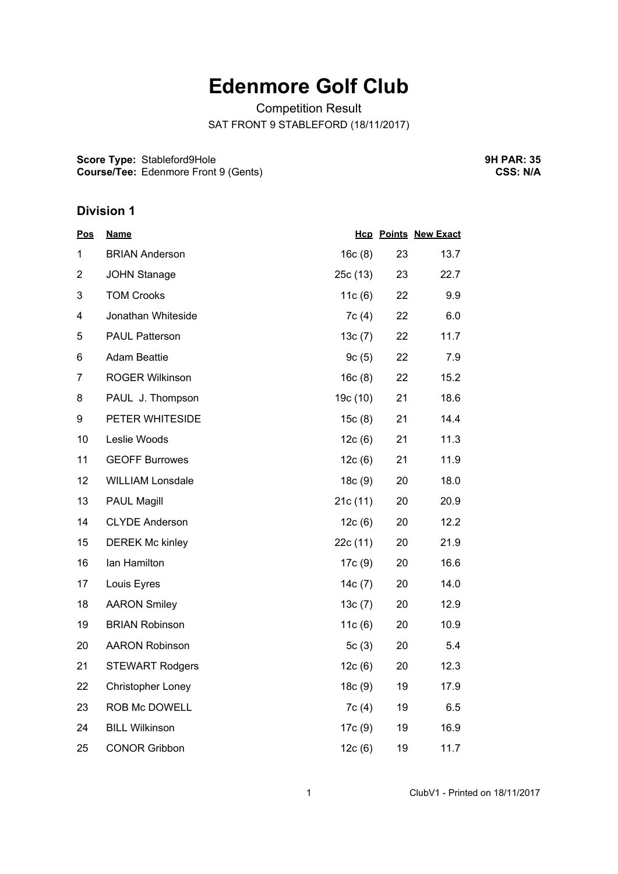# **Edenmore Golf Club**

Competition Result SAT FRONT 9 STABLEFORD (18/11/2017)

**Score Type:** Stableford9Hole **Course/Tee:** Edenmore Front 9 (Gents) **9H PAR: 35 CSS: N/A**

### **Division 1**

| <b>Pos</b>     | <u>Name</u>              |           |    | <b>Hcp Points New Exact</b> |
|----------------|--------------------------|-----------|----|-----------------------------|
| 1              | <b>BRIAN Anderson</b>    | 16c(8)    | 23 | 13.7                        |
| $\overline{2}$ | <b>JOHN Stanage</b>      | 25c(13)   | 23 | 22.7                        |
| 3              | <b>TOM Crooks</b>        | 11 $c(6)$ | 22 | 9.9                         |
| 4              | Jonathan Whiteside       | 7c(4)     | 22 | 6.0                         |
| 5              | <b>PAUL Patterson</b>    | 13c(7)    | 22 | 11.7                        |
| 6              | <b>Adam Beattie</b>      | 9c(5)     | 22 | 7.9                         |
| 7              | <b>ROGER Wilkinson</b>   | 16c(8)    | 22 | 15.2                        |
| 8              | PAUL J. Thompson         | 19c (10)  | 21 | 18.6                        |
| 9              | PETER WHITESIDE          | 15c(8)    | 21 | 14.4                        |
| 10             | Leslie Woods             | 12c(6)    | 21 | 11.3                        |
| 11             | <b>GEOFF Burrowes</b>    | 12c(6)    | 21 | 11.9                        |
| 12             | <b>WILLIAM Lonsdale</b>  | 18c(9)    | 20 | 18.0                        |
| 13             | <b>PAUL Magill</b>       | 21c(11)   | 20 | 20.9                        |
| 14             | <b>CLYDE Anderson</b>    | 12c(6)    | 20 | 12.2                        |
| 15             | <b>DEREK Mc kinley</b>   | 22c(11)   | 20 | 21.9                        |
| 16             | Ian Hamilton             | 17c(9)    | 20 | 16.6                        |
| 17             | Louis Eyres              | 14c(7)    | 20 | 14.0                        |
| 18             | <b>AARON Smiley</b>      | 13c(7)    | 20 | 12.9                        |
| 19             | <b>BRIAN Robinson</b>    | 11c(6)    | 20 | 10.9                        |
| 20             | <b>AARON Robinson</b>    | 5 $c(3)$  | 20 | 5.4                         |
| 21             | <b>STEWART Rodgers</b>   | 12c(6)    | 20 | 12.3                        |
| 22             | <b>Christopher Loney</b> | 18c(9)    | 19 | 17.9                        |
| 23             | ROB Mc DOWELL            | 7c(4)     | 19 | 6.5                         |
| 24             | <b>BILL Wilkinson</b>    | 17c (9)   | 19 | 16.9                        |
| 25             | <b>CONOR Gribbon</b>     | 12c(6)    | 19 | 11.7                        |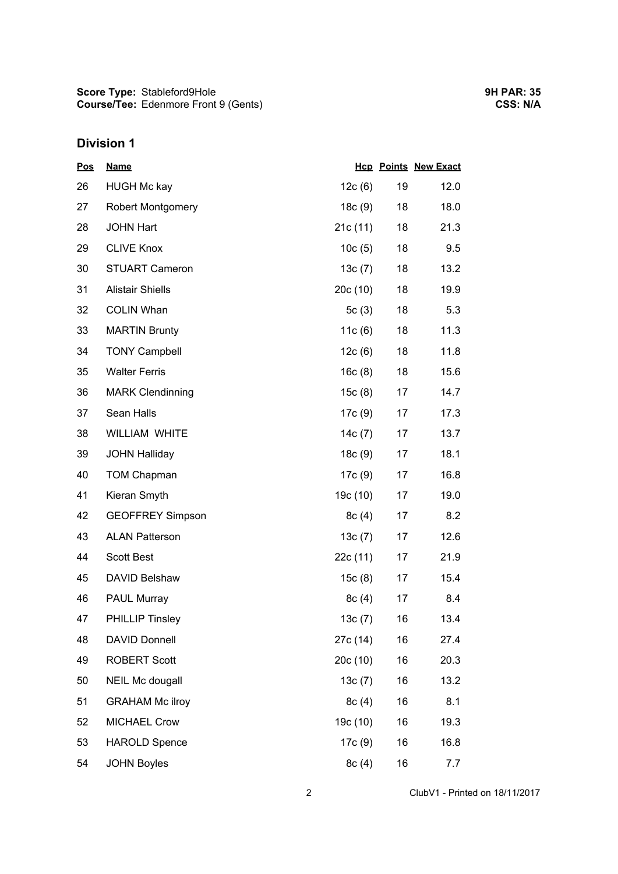# **Division 1**

| <b>Pos</b> | <b>Name</b>              |           |    | <b>Hcp Points New Exact</b> |
|------------|--------------------------|-----------|----|-----------------------------|
| 26         | <b>HUGH Mc kay</b>       | 12c(6)    | 19 | 12.0                        |
| 27         | <b>Robert Montgomery</b> | 18c(9)    | 18 | 18.0                        |
| 28         | <b>JOHN Hart</b>         | 21c(11)   | 18 | 21.3                        |
| 29         | <b>CLIVE Knox</b>        | 10c(5)    | 18 | 9.5                         |
| 30         | <b>STUART Cameron</b>    | 13c(7)    | 18 | 13.2                        |
| 31         | <b>Alistair Shiells</b>  | 20c(10)   | 18 | 19.9                        |
| 32         | <b>COLIN Whan</b>        | 5c(3)     | 18 | 5.3                         |
| 33         | <b>MARTIN Brunty</b>     | 11 $c(6)$ | 18 | 11.3                        |
| 34         | <b>TONY Campbell</b>     | 12c(6)    | 18 | 11.8                        |
| 35         | <b>Walter Ferris</b>     | 16c(8)    | 18 | 15.6                        |
| 36         | <b>MARK Clendinning</b>  | 15c(8)    | 17 | 14.7                        |
| 37         | Sean Halls               | 17c (9)   | 17 | 17.3                        |
| 38         | WILLIAM WHITE            | 14c(7)    | 17 | 13.7                        |
| 39         | <b>JOHN Halliday</b>     | 18c(9)    | 17 | 18.1                        |
| 40         | <b>TOM Chapman</b>       | 17c (9)   | 17 | 16.8                        |
| 41         | Kieran Smyth             | 19c (10)  | 17 | 19.0                        |
| 42         | <b>GEOFFREY Simpson</b>  | 8c(4)     | 17 | 8.2                         |
| 43         | <b>ALAN Patterson</b>    | 13c(7)    | 17 | 12.6                        |
| 44         | <b>Scott Best</b>        | 22c (11)  | 17 | 21.9                        |
| 45         | DAVID Belshaw            | 15c(8)    | 17 | 15.4                        |
| 46         | PAUL Murray              | 8c(4)     | 17 | 8.4                         |
| 47         | <b>PHILLIP Tinsley</b>   | 13c(7)    | 16 | 13.4                        |
| 48         | <b>DAVID Donnell</b>     | 27c (14)  | 16 | 27.4                        |
| 49         | <b>ROBERT Scott</b>      | 20c (10)  | 16 | 20.3                        |
| 50         | <b>NEIL Mc dougall</b>   | 13c(7)    | 16 | 13.2                        |
| 51         | <b>GRAHAM Mc ilroy</b>   | 8c(4)     | 16 | 8.1                         |
| 52         | <b>MICHAEL Crow</b>      | 19c (10)  | 16 | 19.3                        |
| 53         | <b>HAROLD Spence</b>     | 17c (9)   | 16 | 16.8                        |
| 54         | <b>JOHN Boyles</b>       | 8c(4)     | 16 | 7.7                         |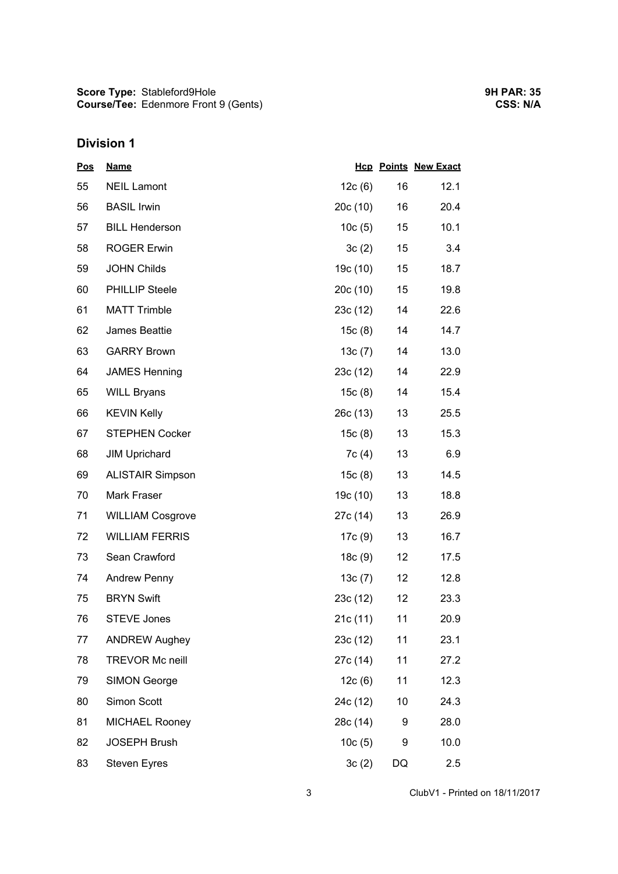## **Division 1**

| <u>Pos</u> | <b>Name</b>             |          |                 | <b>Hcp Points New Exact</b> |
|------------|-------------------------|----------|-----------------|-----------------------------|
| 55         | <b>NEIL Lamont</b>      | 12c(6)   | 16              | 12.1                        |
| 56         | <b>BASIL Irwin</b>      | 20c(10)  | 16              | 20.4                        |
| 57         | <b>BILL Henderson</b>   | 10c(5)   | $15\,$          | 10.1                        |
| 58         | <b>ROGER Erwin</b>      | 3c(2)    | 15              | 3.4                         |
| 59         | <b>JOHN Childs</b>      | 19c (10) | 15              | 18.7                        |
| 60         | <b>PHILLIP Steele</b>   | 20c(10)  | $15\,$          | 19.8                        |
| 61         | <b>MATT Trimble</b>     | 23c(12)  | 14              | 22.6                        |
| 62         | James Beattie           | 15c(8)   | 14              | 14.7                        |
| 63         | <b>GARRY Brown</b>      | 13c(7)   | 14              | 13.0                        |
| 64         | <b>JAMES Henning</b>    | 23c(12)  | 14              | 22.9                        |
| 65         | <b>WILL Bryans</b>      | 15c(8)   | 14              | 15.4                        |
| 66         | <b>KEVIN Kelly</b>      | 26c(13)  | 13              | 25.5                        |
| 67         | <b>STEPHEN Cocker</b>   | 15c(8)   | 13              | 15.3                        |
| 68         | <b>JIM Uprichard</b>    | 7c (4)   | 13              | 6.9                         |
| 69         | <b>ALISTAIR Simpson</b> | 15c(8)   | 13              | 14.5                        |
| 70         | Mark Fraser             | 19c (10) | 13              | 18.8                        |
| 71         | <b>WILLIAM Cosgrove</b> | 27c (14) | 13              | 26.9                        |
| 72         | <b>WILLIAM FERRIS</b>   | 17c (9)  | 13              | 16.7                        |
| 73         | Sean Crawford           | 18c(9)   | 12 <sup>°</sup> | 17.5                        |
| 74         | <b>Andrew Penny</b>     | 13c(7)   | 12 <sup>°</sup> | 12.8                        |
| 75         | <b>BRYN Swift</b>       | 23c(12)  | 12              | 23.3                        |
| 76         | <b>STEVE Jones</b>      | 21c (11) | 11              | 20.9                        |
| 77         | <b>ANDREW Aughey</b>    | 23c(12)  | 11              | 23.1                        |
| 78         | <b>TREVOR Mc neill</b>  | 27c (14) | 11              | 27.2                        |
| 79         | <b>SIMON George</b>     | 12c(6)   | 11              | 12.3                        |
| 80         | Simon Scott             | 24c (12) | 10              | 24.3                        |
| 81         | <b>MICHAEL Rooney</b>   | 28c (14) | 9               | 28.0                        |
| 82         | <b>JOSEPH Brush</b>     | 10c(5)   | 9               | 10.0                        |
| 83         | <b>Steven Eyres</b>     | 3c(2)    | DQ              | 2.5                         |